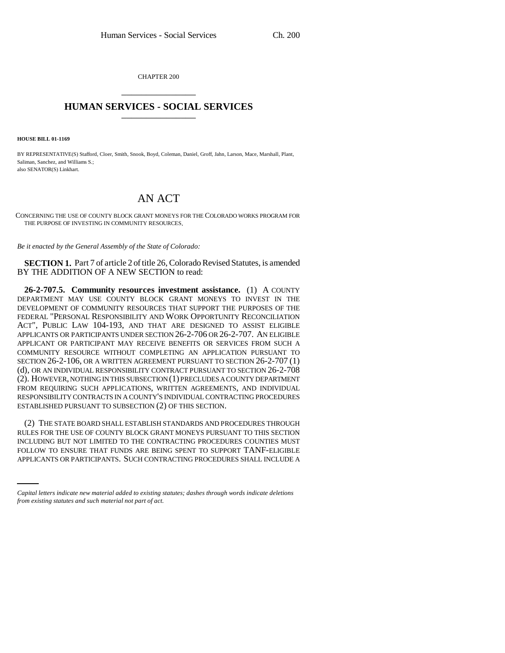CHAPTER 200 \_\_\_\_\_\_\_\_\_\_\_\_\_\_\_

## **HUMAN SERVICES - SOCIAL SERVICES** \_\_\_\_\_\_\_\_\_\_\_\_\_\_\_

**HOUSE BILL 01-1169**

BY REPRESENTATIVE(S) Stafford, Cloer, Smith, Snook, Boyd, Coleman, Daniel, Groff, Jahn, Larson, Mace, Marshall, Plant, Saliman, Sanchez, and Williams S.; also SENATOR(S) Linkhart.

## AN ACT

CONCERNING THE USE OF COUNTY BLOCK GRANT MONEYS FOR THE COLORADO WORKS PROGRAM FOR THE PURPOSE OF INVESTING IN COMMUNITY RESOURCES.

*Be it enacted by the General Assembly of the State of Colorado:*

**SECTION 1.** Part 7 of article 2 of title 26, Colorado Revised Statutes, is amended BY THE ADDITION OF A NEW SECTION to read:

**26-2-707.5. Community resources investment assistance.** (1) A COUNTY DEPARTMENT MAY USE COUNTY BLOCK GRANT MONEYS TO INVEST IN THE DEVELOPMENT OF COMMUNITY RESOURCES THAT SUPPORT THE PURPOSES OF THE FEDERAL "PERSONAL RESPONSIBILITY AND WORK OPPORTUNITY RECONCILIATION ACT", PUBLIC LAW 104-193, AND THAT ARE DESIGNED TO ASSIST ELIGIBLE APPLICANTS OR PARTICIPANTS UNDER SECTION 26-2-706 OR 26-2-707. AN ELIGIBLE APPLICANT OR PARTICIPANT MAY RECEIVE BENEFITS OR SERVICES FROM SUCH A COMMUNITY RESOURCE WITHOUT COMPLETING AN APPLICATION PURSUANT TO SECTION 26-2-106, OR A WRITTEN AGREEMENT PURSUANT TO SECTION 26-2-707 (1) (d), OR AN INDIVIDUAL RESPONSIBILITY CONTRACT PURSUANT TO SECTION 26-2-708 (2). HOWEVER, NOTHING IN THIS SUBSECTION (1) PRECLUDES A COUNTY DEPARTMENT FROM REQUIRING SUCH APPLICATIONS, WRITTEN AGREEMENTS, AND INDIVIDUAL RESPONSIBILITY CONTRACTS IN A COUNTY'S INDIVIDUAL CONTRACTING PROCEDURES ESTABLISHED PURSUANT TO SUBSECTION (2) OF THIS SECTION.

INCLUDING BUT NOT LIMITED TO THE CONTRACTING PROCEDURES COUNTIES MUST (2) THE STATE BOARD SHALL ESTABLISH STANDARDS AND PROCEDURES THROUGH RULES FOR THE USE OF COUNTY BLOCK GRANT MONEYS PURSUANT TO THIS SECTION FOLLOW TO ENSURE THAT FUNDS ARE BEING SPENT TO SUPPORT TANF-ELIGIBLE APPLICANTS OR PARTICIPANTS. SUCH CONTRACTING PROCEDURES SHALL INCLUDE A

*Capital letters indicate new material added to existing statutes; dashes through words indicate deletions from existing statutes and such material not part of act.*